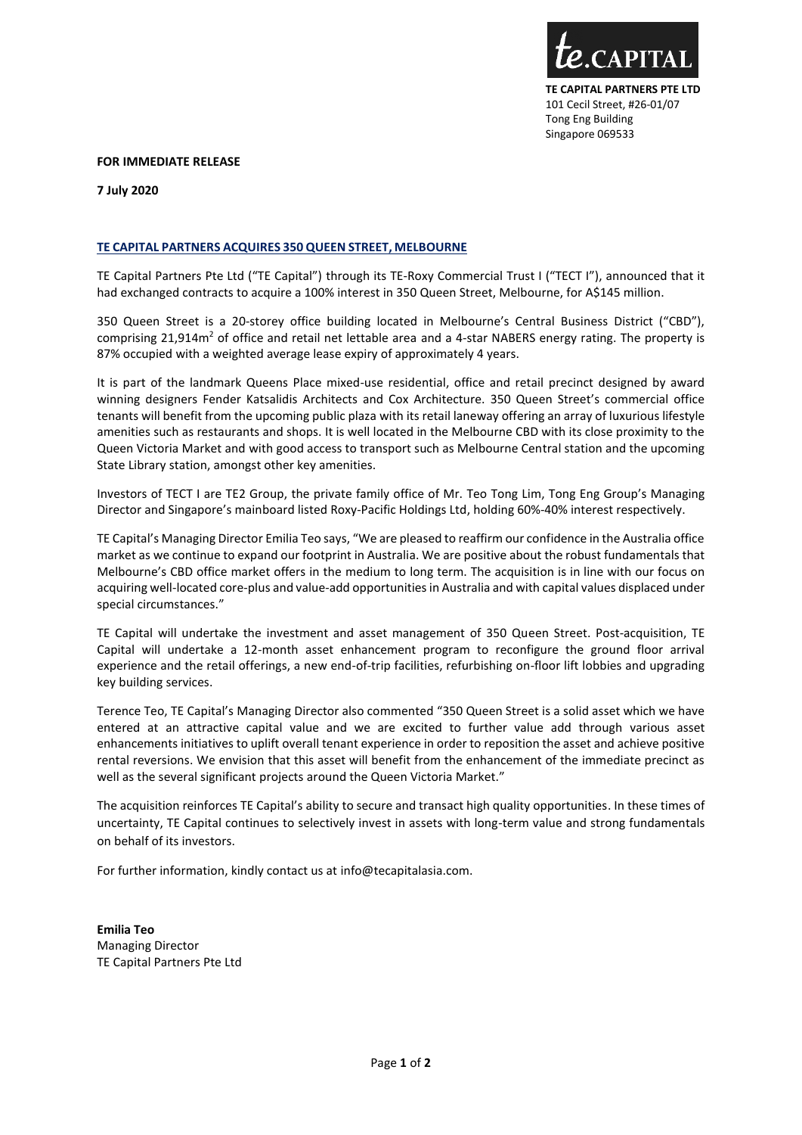

## **FOR IMMEDIATE RELEASE**

**7 July 2020**

## **TE CAPITAL PARTNERS ACQUIRES 350 QUEEN STREET, MELBOURNE**

TE Capital Partners Pte Ltd ("TE Capital") through its TE-Roxy Commercial Trust I ("TECT I"), announced that it had exchanged contracts to acquire a 100% interest in 350 Queen Street, Melbourne, for A\$145 million.

350 Queen Street is a 20-storey office building located in Melbourne's Central Business District ("CBD"), comprising 21,914m<sup>2</sup> of office and retail net lettable area and a 4-star NABERS energy rating. The property is 87% occupied with a weighted average lease expiry of approximately 4 years.

It is part of the landmark Queens Place mixed-use residential, office and retail precinct designed by award winning designers Fender Katsalidis Architects and Cox Architecture. 350 Queen Street's commercial office tenants will benefit from the upcoming public plaza with its retail laneway offering an array of luxurious lifestyle amenities such as restaurants and shops. It is well located in the Melbourne CBD with its close proximity to the Queen Victoria Market and with good access to transport such as Melbourne Central station and the upcoming State Library station, amongst other key amenities.

Investors of TECT I are TE2 Group, the private family office of Mr. Teo Tong Lim, Tong Eng Group's Managing Director and Singapore's mainboard listed Roxy-Pacific Holdings Ltd, holding 60%-40% interest respectively.

TE Capital's Managing Director Emilia Teo says, "We are pleased to reaffirm our confidence in the Australia office market as we continue to expand our footprint in Australia. We are positive about the robust fundamentals that Melbourne's CBD office market offers in the medium to long term. The acquisition is in line with our focus on acquiring well-located core-plus and value-add opportunities in Australia and with capital values displaced under special circumstances."

TE Capital will undertake the investment and asset management of 350 Queen Street. Post-acquisition, TE Capital will undertake a 12-month asset enhancement program to reconfigure the ground floor arrival experience and the retail offerings, a new end-of-trip facilities, refurbishing on-floor lift lobbies and upgrading key building services.

Terence Teo, TE Capital's Managing Director also commented "350 Queen Street is a solid asset which we have entered at an attractive capital value and we are excited to further value add through various asset enhancements initiatives to uplift overall tenant experience in order to reposition the asset and achieve positive rental reversions. We envision that this asset will benefit from the enhancement of the immediate precinct as well as the several significant projects around the Queen Victoria Market."

The acquisition reinforces TE Capital's ability to secure and transact high quality opportunities. In these times of uncertainty, TE Capital continues to selectively invest in assets with long-term value and strong fundamentals on behalf of its investors.

For further information, kindly contact us at info@tecapitalasia.com.

**Emilia Teo** Managing Director TE Capital Partners Pte Ltd